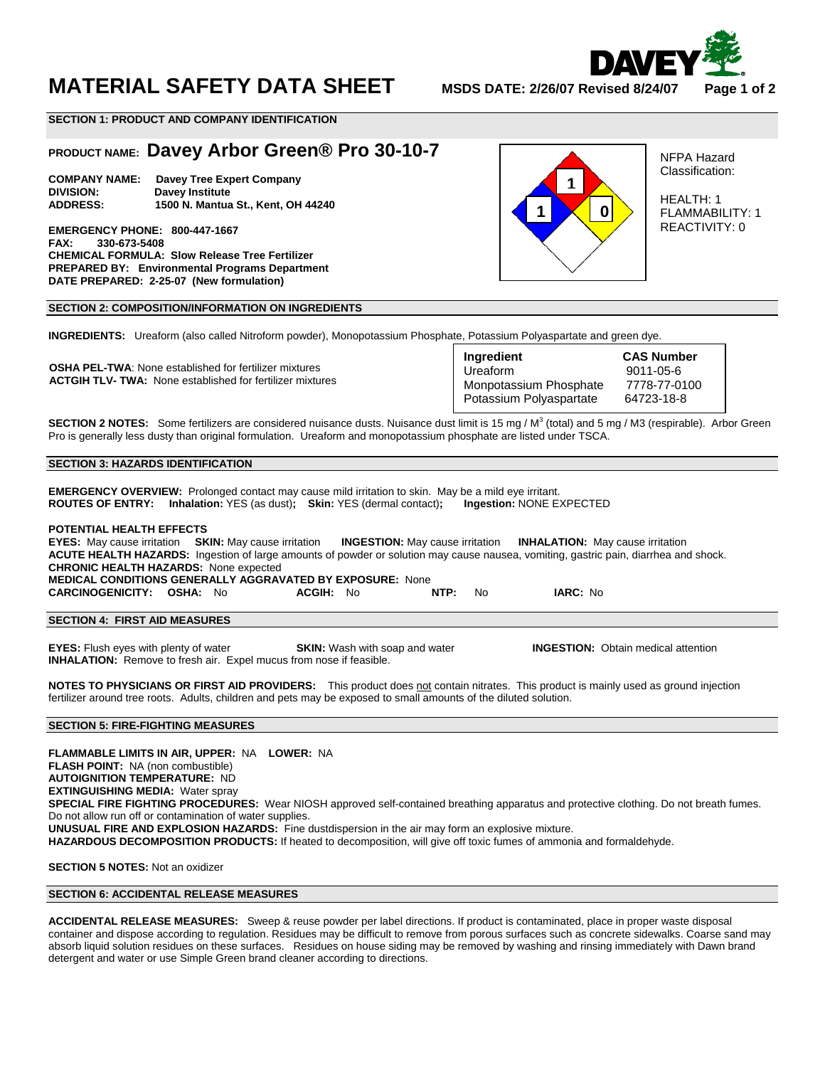

# **MATERIAL SAFETY DATA SHEET MSDS DATE: 2/26/07 Revised 8/24/07 Page 1 of 2**

**SECTION 1: PRODUCT AND COMPANY IDENTIFICATION** 

# **PRODUCT NAME: Davey Arbor Green® Pro 30-10-7**

**COMPANY NAME: Davey Tree Expert Company Davey Institute ADDRESS: 1500 N. Mantua St., Kent, OH 44240** 

**EMERGENCY PHONE: 800-447-1667 FAX: 330-673-5408 CHEMICAL FORMULA: Slow Release Tree Fertilizer PREPARED BY: Environmental Programs Department DATE PREPARED: 2-25-07 (New formulation)** 

# **1 1 0**

NFPA Hazard Classification:

HEALTH: 1 FLAMMABILITY: 1 REACTIVITY: 0

# **SECTION 2: COMPOSITION/INFORMATION ON INGREDIENTS**

**INGREDIENTS:** Ureaform (also called Nitroform powder), Monopotassium Phosphate, Potassium Polyaspartate and green dye.

 **OSHA PEL-TWA**: None established for fertilizer mixtures **ACTGIH TLV- TWA:** None established for fertilizer mixtures

| Ingredient              | <b>CAS Number</b> |
|-------------------------|-------------------|
| Ureaform                | 9011-05-6         |
| Monpotassium Phosphate  | 7778-77-0100      |
| Potassium Polyaspartate | 64723-18-8        |

**SECTION 2 NOTES:** Some fertilizers are considered nuisance dusts. Nuisance dust limit is 15 mg / M<sup>3</sup> (total) and 5 mg / M3 (respirable). Arbor Green Pro is generally less dusty than original formulation. Ureaform and monopotassium phosphate are listed under TSCA.

# **SECTION 3: HAZARDS IDENTIFICATION**

**EMERGENCY OVERVIEW:** Prolonged contact may cause mild irritation to skin. May be a mild eye irritant. **ROUTES OF ENTRY: Inhalation:** YES (as dust)**; Skin:** YES (dermal contact)**; Ingestion:** NONE EXPECTED

### **POTENTIAL HEALTH EFFECTS**

|                                                                                                                                      |  |           |  |      |     | <b>EYES:</b> May cause irritation SKIN: May cause irritation <b>INGESTION:</b> May cause irritation <b>INHALATION:</b> May cause irritation |  |  |
|--------------------------------------------------------------------------------------------------------------------------------------|--|-----------|--|------|-----|---------------------------------------------------------------------------------------------------------------------------------------------|--|--|
| ACUTE HEALTH HAZARDS: Ingestion of large amounts of powder or solution may cause nausea, vomiting, gastric pain, diarrhea and shock. |  |           |  |      |     |                                                                                                                                             |  |  |
| <b>CHRONIC HEALTH HAZARDS: None expected</b>                                                                                         |  |           |  |      |     |                                                                                                                                             |  |  |
| <b>MEDICAL CONDITIONS GENERALLY AGGRAVATED BY EXPOSURE: None</b>                                                                     |  |           |  |      |     |                                                                                                                                             |  |  |
| <b>CARCINOGENICITY: OSHA:</b> No                                                                                                     |  | ACGIH: No |  | NTP: | No. | <b>IARC: No</b>                                                                                                                             |  |  |
|                                                                                                                                      |  |           |  |      |     |                                                                                                                                             |  |  |
| <b>SECTION 4: FIRST AID MEASURES</b>                                                                                                 |  |           |  |      |     |                                                                                                                                             |  |  |

**EYES:** Flush eyes with plenty of water **SKIN:** Wash with soap and water **INGESTION:** Obtain medical attention **INHALATION:** Remove to fresh air. Expel mucus from nose if feasible.

**NOTES TO PHYSICIANS OR FIRST AID PROVIDERS:** This product does not contain nitrates. This product is mainly used as ground injection fertilizer around tree roots. Adults, children and pets may be exposed to small amounts of the diluted solution.

# **SECTION 5: FIRE-FIGHTING MEASURES**

**FLAMMABLE LIMITS IN AIR, UPPER:** NA **LOWER:** NA **FLASH POINT:** NA (non combustible) **AUTOIGNITION TEMPERATURE:** ND **EXTINGUISHING MEDIA:** Water spray **SPECIAL FIRE FIGHTING PROCEDURES:** Wear NIOSH approved self-contained breathing apparatus and protective clothing. Do not breath fumes. Do not allow run off or contamination of water supplies. **UNUSUAL FIRE AND EXPLOSION HAZARDS:** Fine dustdispersion in the air may form an explosive mixture. **HAZARDOUS DECOMPOSITION PRODUCTS:** If heated to decomposition, will give off toxic fumes of ammonia and formaldehyde.

**SECTION 5 NOTES:** Not an oxidizer

# **SECTION 6: ACCIDENTAL RELEASE MEASURES**

**ACCIDENTAL RELEASE MEASURES:** Sweep & reuse powder per label directions. If product is contaminated, place in proper waste disposal container and dispose according to regulation. Residues may be difficult to remove from porous surfaces such as concrete sidewalks. Coarse sand may absorb liquid solution residues on these surfaces. Residues on house siding may be removed by washing and rinsing immediately with Dawn brand detergent and water or use Simple Green brand cleaner according to directions.